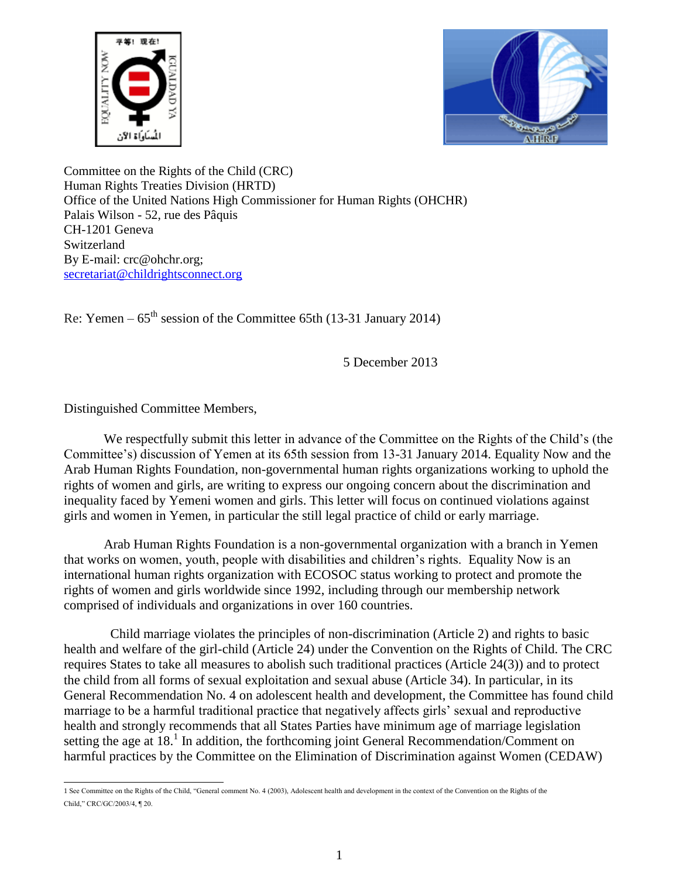



Committee on the Rights of the Child (CRC) Human Rights Treaties Division (HRTD) Office of the United Nations High Commissioner for Human Rights (OHCHR) Palais Wilson - 52, rue des Pâquis CH-1201 Geneva Switzerland By E-mail: crc@ohchr.org; [secretariat@childrightsconnect.org](mailto:secretariat@childrightsconnect.org)

Re: Yemen –  $65<sup>th</sup>$  session of the Committee 65th (13-31 January 2014)

5 December 2013

Distinguished Committee Members,

We respectfully submit this letter in advance of the Committee on the Rights of the Child's (the Committee's) discussion of Yemen at its 65th session from 13-31 January 2014. Equality Now and the Arab Human Rights Foundation, non-governmental human rights organizations working to uphold the rights of women and girls, are writing to express our ongoing concern about the discrimination and inequality faced by Yemeni women and girls. This letter will focus on continued violations against girls and women in Yemen, in particular the still legal practice of child or early marriage.

Arab Human Rights Foundation is a non-governmental organization with a branch in Yemen that works on women, youth, people with disabilities and children's rights. Equality Now is an international human rights organization with ECOSOC status working to protect and promote the rights of women and girls worldwide since 1992, including through our membership network comprised of individuals and organizations in over 160 countries.

 Child marriage violates the principles of non-discrimination (Article 2) and rights to basic health and welfare of the girl-child (Article 24) under the Convention on the Rights of Child. The CRC requires States to take all measures to abolish such traditional practices (Article 24(3)) and to protect the child from all forms of sexual exploitation and sexual abuse (Article 34). In particular, in its General Recommendation No. 4 on adolescent health and development, the Committee has found child marriage to be a harmful traditional practice that negatively affects girls' sexual and reproductive health and strongly recommends that all States Parties have minimum age of marriage legislation setting the age at 18.<sup>1</sup> In addition, the forthcoming joint General Recommendation/Comment on harmful practices by the Committee on the Elimination of Discrimination against Women (CEDAW)

 1 See Committee on the Rights of the Child, "General comment No. 4 (2003), Adolescent health and development in the context of the Convention on the Rights of the Child," CRC/GC/2003/4, ¶ 20.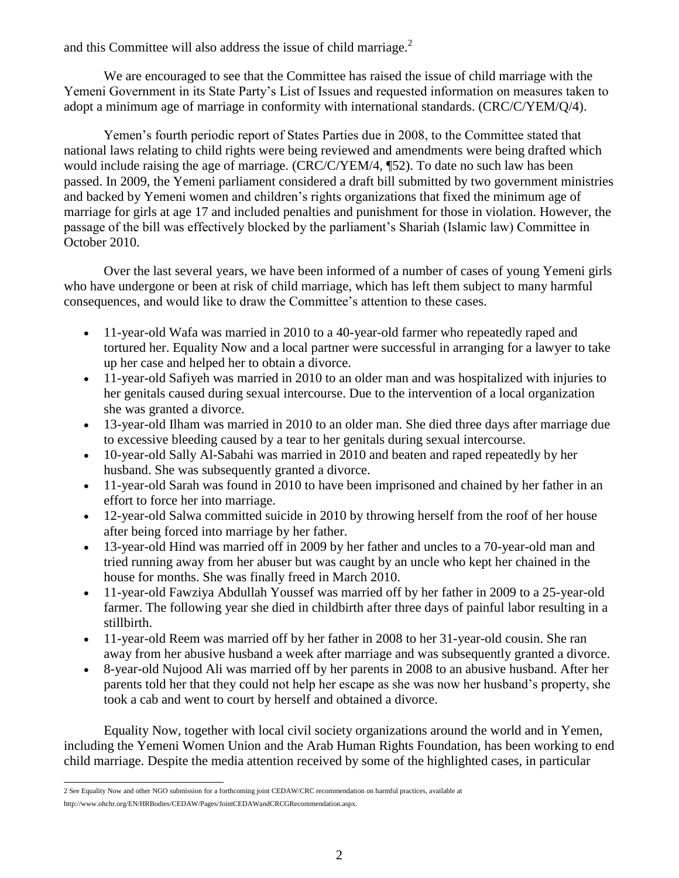and this Committee will also address the issue of child marriage.<sup>2</sup>

We are encouraged to see that the Committee has raised the issue of child marriage with the Yemeni Government in its State Party's List of Issues and requested information on measures taken to adopt a minimum age of marriage in conformity with international standards. (CRC/C/YEM/Q/4).

Yemen's fourth periodic report of States Parties due in 2008, to the Committee stated that national laws relating to child rights were being reviewed and amendments were being drafted which would include raising the age of marriage. (CRC/C/YEM/4, ¶52). To date no such law has been passed. In 2009, the Yemeni parliament considered a draft bill submitted by two government ministries and backed by Yemeni women and children's rights organizations that fixed the minimum age of marriage for girls at age 17 and included penalties and punishment for those in violation. However, the passage of the bill was effectively blocked by the parliament's Shariah (Islamic law) Committee in October 2010.

Over the last several years, we have been informed of a number of cases of young Yemeni girls who have undergone or been at risk of child marriage, which has left them subject to many harmful consequences, and would like to draw the Committee's attention to these cases.

- 11-year-old Wafa was married in 2010 to a 40-year-old farmer who repeatedly raped and tortured her. Equality Now and a local partner were successful in arranging for a lawyer to take up her case and helped her to obtain a divorce.
- 11-year-old Safiyeh was married in 2010 to an older man and was hospitalized with injuries to her genitals caused during sexual intercourse. Due to the intervention of a local organization she was granted a divorce.
- 13-year-old Ilham was married in 2010 to an older man. She died three days after marriage due to excessive bleeding caused by a tear to her genitals during sexual intercourse.
- 10-year-old Sally Al-Sabahi was married in 2010 and beaten and raped repeatedly by her husband. She was subsequently granted a divorce.
- 11-year-old Sarah was found in 2010 to have been imprisoned and chained by her father in an effort to force her into marriage.
- 12-year-old Salwa committed suicide in 2010 by throwing herself from the roof of her house after being forced into marriage by her father.
- 13-year-old Hind was married off in 2009 by her father and uncles to a 70-year-old man and tried running away from her abuser but was caught by an uncle who kept her chained in the house for months. She was finally freed in March 2010.
- 11-year-old Fawziya Abdullah Youssef was married off by her father in 2009 to a 25-year-old farmer. The following year she died in childbirth after three days of painful labor resulting in a stillbirth.
- 11-year-old Reem was married off by her father in 2008 to her 31-year-old cousin. She ran away from her abusive husband a week after marriage and was subsequently granted a divorce.
- 8-year-old Nujood Ali was married off by her parents in 2008 to an abusive husband. After her parents told her that they could not help her escape as she was now her husband's property, she took a cab and went to court by herself and obtained a divorce.

Equality Now, together with local civil society organizations around the world and in Yemen, including the Yemeni Women Union and the Arab Human Rights Foundation, has been working to end child marriage. Despite the media attention received by some of the highlighted cases, in particular

<sup>2</sup> See Equality Now and other NGO submission for a forthcoming joint CEDAW/CRC recommendation on harmful practices, available at

[http://www.ohchr.org/EN/HRBodies/CEDAW/Pages/JointCEDAWandCRCGRecommendation.aspx.](http://www.ohchr.org/EN/HRBodies/CEDAW/Pages/JointCEDAWandCRCGRecommendation.aspx)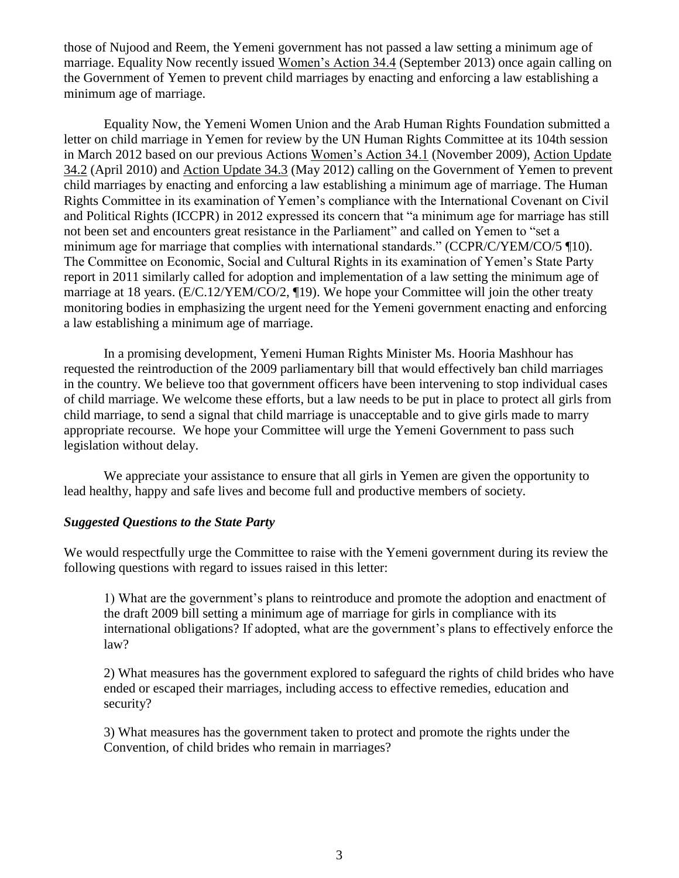those of Nujood and Reem, the Yemeni government has not passed a law setting a minimum age of marriage. Equality Now recently issued [Women's Action 34.4](http://www.equalitynow.org/take_action/adolescent_girls_action344) (September 2013) once again calling on the Government of Yemen to prevent child marriages by enacting and enforcing a law establishing a minimum age of marriage.

Equality Now, the Yemeni Women Union and the Arab Human Rights Foundation submitted a letter on child marriage in Yemen for review by the UN Human Rights Committee at its 104th session in March 2012 based on our previous Actions [Women's Action 34.1](http://www.equalitynow.org/take_action/adolescent-girls_action341) (November 2009), [Action Update](http://www.equalitynow.org/take_action/sexual_violence_action342)  [34.2](http://www.equalitynow.org/take_action/sexual_violence_action342) (April 2010) and [Action Update 34.3](http://www.equalitynow.org/take_action/adolescent_girls_action343) (May 2012) calling on the Government of Yemen to prevent child marriages by enacting and enforcing a law establishing a minimum age of marriage. The Human Rights Committee in its examination of Yemen's compliance with the International Covenant on Civil and Political Rights (ICCPR) in 2012 expressed its concern that "a minimum age for marriage has still not been set and encounters great resistance in the Parliament" and called on Yemen to "set a minimum age for marriage that complies with international standards." (CCPR/C/YEM/CO/5 ¶10). The Committee on Economic, Social and Cultural Rights in its examination of Yemen's State Party report in 2011 similarly called for adoption and implementation of a law setting the minimum age of marriage at 18 years. (E/C.12/YEM/CO/2, ¶19). We hope your Committee will join the other treaty monitoring bodies in emphasizing the urgent need for the Yemeni government enacting and enforcing a law establishing a minimum age of marriage.

In a promising development, Yemeni Human Rights Minister Ms. Hooria Mashhour has requested the reintroduction of the 2009 parliamentary bill that would effectively ban child marriages in the country. We believe too that government officers have been intervening to stop individual cases of child marriage. We welcome these efforts, but a law needs to be put in place to protect all girls from child marriage, to send a signal that child marriage is unacceptable and to give girls made to marry appropriate recourse. We hope your Committee will urge the Yemeni Government to pass such legislation without delay.

We appreciate your assistance to ensure that all girls in Yemen are given the opportunity to lead healthy, happy and safe lives and become full and productive members of society.

## *Suggested Questions to the State Party*

We would respectfully urge the Committee to raise with the Yemeni government during its review the following questions with regard to issues raised in this letter:

1) What are the government's plans to reintroduce and promote the adoption and enactment of the draft 2009 bill setting a minimum age of marriage for girls in compliance with its international obligations? If adopted, what are the government's plans to effectively enforce the law?

2) What measures has the government explored to safeguard the rights of child brides who have ended or escaped their marriages, including access to effective remedies, education and security?

3) What measures has the government taken to protect and promote the rights under the Convention, of child brides who remain in marriages?